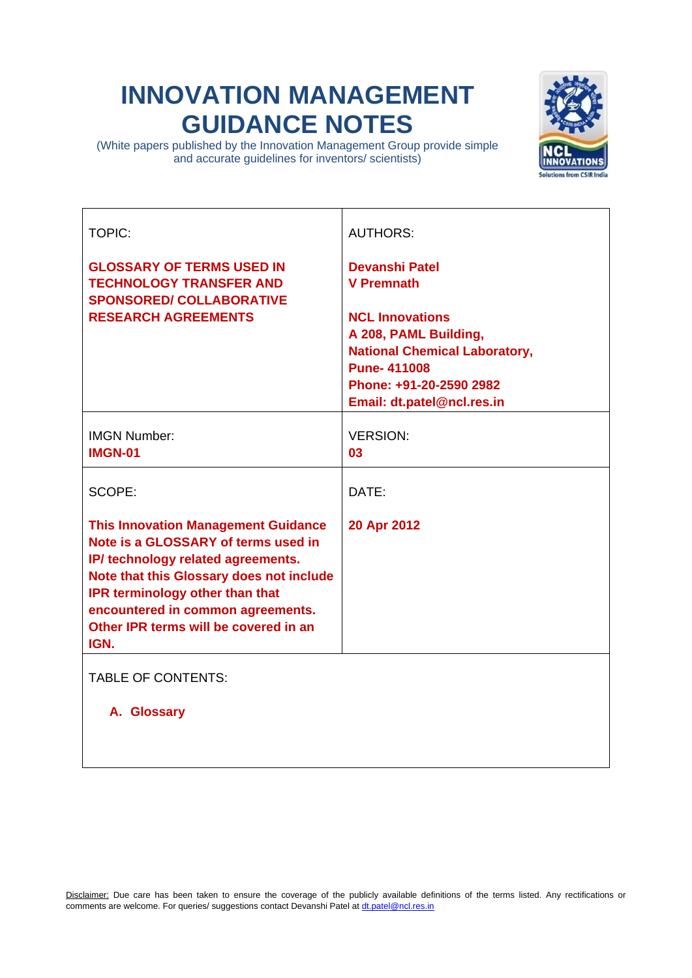## **INNOVATION MANAGEMENT GUIDANCE NOTES**

(White papers published by the Innovation Management Group provide simple and accurate guidelines for inventors/ scientists)



| <b>TOPIC:</b>                              | <b>AUTHORS:</b>                      |
|--------------------------------------------|--------------------------------------|
| <b>GLOSSARY OF TERMS USED IN</b>           | <b>Devanshi Patel</b>                |
| <b>TECHNOLOGY TRANSFER AND</b>             | <b>V</b> Premnath                    |
| <b>SPONSORED/ COLLABORATIVE</b>            |                                      |
| <b>RESEARCH AGREEMENTS</b>                 | <b>NCL Innovations</b>               |
|                                            | A 208, PAML Building,                |
|                                            | <b>National Chemical Laboratory,</b> |
|                                            | <b>Pune-411008</b>                   |
|                                            | Phone: +91-20-2590 2982              |
|                                            | Email: dt.patel@ncl.res.in           |
|                                            |                                      |
| <b>IMGN Number:</b>                        | <b>VERSION:</b>                      |
| <b>IMGN-01</b>                             | 03                                   |
|                                            |                                      |
|                                            |                                      |
| SCOPE:                                     | DATE:                                |
|                                            |                                      |
| <b>This Innovation Management Guidance</b> | 20 Apr 2012                          |
| Note is a GLOSSARY of terms used in        |                                      |
| IP/ technology related agreements.         |                                      |
| Note that this Glossary does not include   |                                      |
| <b>IPR terminology other than that</b>     |                                      |
| encountered in common agreements.          |                                      |
| Other IPR terms will be covered in an      |                                      |
| IGN.                                       |                                      |
|                                            |                                      |
| <b>TABLE OF CONTENTS:</b>                  |                                      |
|                                            |                                      |
| A. Glossary                                |                                      |
|                                            |                                      |
|                                            |                                      |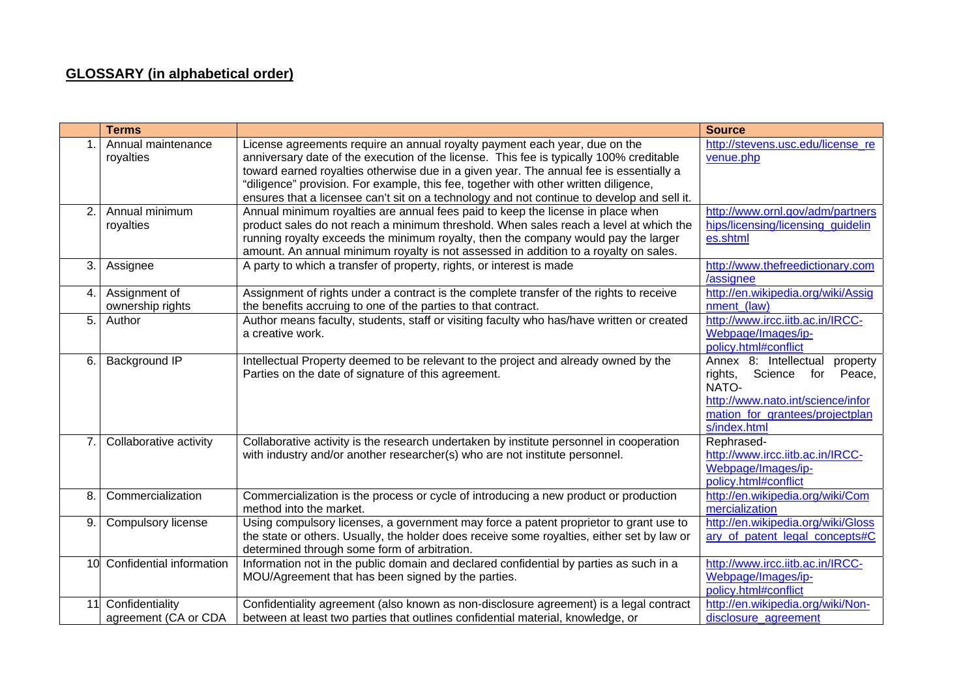## **GLOSSARY (in alphabetical order)**

|     | <b>Terms</b>                               |                                                                                                                                                                                                                                                                                                                                                                                                                                                       | <b>Source</b>                                                                                                                                                             |
|-----|--------------------------------------------|-------------------------------------------------------------------------------------------------------------------------------------------------------------------------------------------------------------------------------------------------------------------------------------------------------------------------------------------------------------------------------------------------------------------------------------------------------|---------------------------------------------------------------------------------------------------------------------------------------------------------------------------|
|     | Annual maintenance<br>royalties            | License agreements require an annual royalty payment each year, due on the<br>anniversary date of the execution of the license. This fee is typically 100% creditable<br>toward earned royalties otherwise due in a given year. The annual fee is essentially a<br>"diligence" provision. For example, this fee, together with other written diligence,<br>ensures that a licensee can't sit on a technology and not continue to develop and sell it. | http://stevens.usc.edu/license_re<br>venue.php                                                                                                                            |
| 2.  | Annual minimum<br>royalties                | Annual minimum royalties are annual fees paid to keep the license in place when<br>product sales do not reach a minimum threshold. When sales reach a level at which the<br>running royalty exceeds the minimum royalty, then the company would pay the larger<br>amount. An annual minimum royalty is not assessed in addition to a royalty on sales.                                                                                                | http://www.ornl.gov/adm/partners<br>hips/licensing/licensing_guidelin<br>es.shtml                                                                                         |
| 3.  | Assignee                                   | A party to which a transfer of property, rights, or interest is made                                                                                                                                                                                                                                                                                                                                                                                  | http://www.thefreedictionary.com<br>/assignee                                                                                                                             |
| 4.  | Assignment of<br>ownership rights          | Assignment of rights under a contract is the complete transfer of the rights to receive<br>the benefits accruing to one of the parties to that contract.                                                                                                                                                                                                                                                                                              | http://en.wikipedia.org/wiki/Assig<br>nment (law)                                                                                                                         |
| 5.  | Author                                     | Author means faculty, students, staff or visiting faculty who has/have written or created<br>a creative work.                                                                                                                                                                                                                                                                                                                                         | http://www.ircc.iitb.ac.in/IRCC-<br>Webpage/Images/ip-<br>policy.html#conflict                                                                                            |
| 6.  | Background IP                              | Intellectual Property deemed to be relevant to the project and already owned by the<br>Parties on the date of signature of this agreement.                                                                                                                                                                                                                                                                                                            | Annex 8: Intellectual<br>property<br>Science<br>Peace,<br>rights,<br>for<br>NATO-<br>http://www.nato.int/science/infor<br>mation_for_grantees/projectplan<br>s/index.html |
| 7.1 | Collaborative activity                     | Collaborative activity is the research undertaken by institute personnel in cooperation<br>with industry and/or another researcher(s) who are not institute personnel.                                                                                                                                                                                                                                                                                | Rephrased-<br>http://www.ircc.iitb.ac.in/IRCC-<br>Webpage/Images/ip-<br>policy.html#conflict                                                                              |
| 8.  | Commercialization                          | Commercialization is the process or cycle of introducing a new product or production<br>method into the market.                                                                                                                                                                                                                                                                                                                                       | http://en.wikipedia.org/wiki/Com<br>mercialization                                                                                                                        |
| 9.1 | Compulsory license                         | Using compulsory licenses, a government may force a patent proprietor to grant use to<br>the state or others. Usually, the holder does receive some royalties, either set by law or<br>determined through some form of arbitration.                                                                                                                                                                                                                   | http://en.wikipedia.org/wiki/Gloss<br>ary of patent legal concepts#C                                                                                                      |
|     | 10 Confidential information                | Information not in the public domain and declared confidential by parties as such in a<br>MOU/Agreement that has been signed by the parties.                                                                                                                                                                                                                                                                                                          | http://www.ircc.iitb.ac.in/IRCC-<br>Webpage/Images/ip-<br>policy.html#conflict                                                                                            |
|     | 11 Confidentiality<br>agreement (CA or CDA | Confidentiality agreement (also known as non-disclosure agreement) is a legal contract<br>between at least two parties that outlines confidential material, knowledge, or                                                                                                                                                                                                                                                                             | http://en.wikipedia.org/wiki/Non-<br>disclosure agreement                                                                                                                 |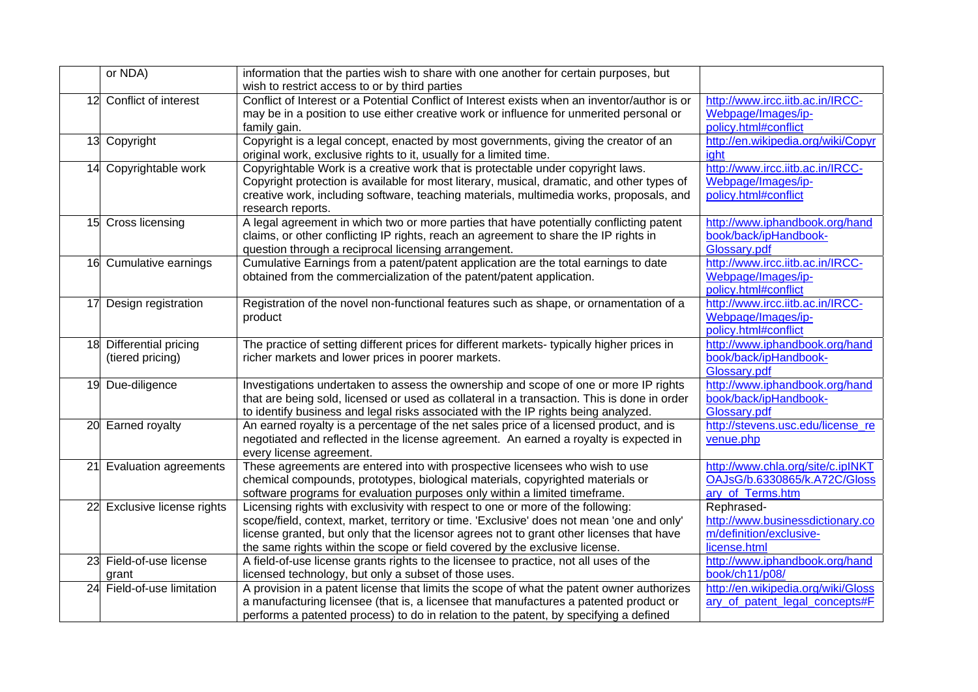|    | or NDA)                                  | information that the parties wish to share with one another for certain purposes, but<br>wish to restrict access to or by third parties                                                                                                                                                                                                                 |                                                                                           |
|----|------------------------------------------|---------------------------------------------------------------------------------------------------------------------------------------------------------------------------------------------------------------------------------------------------------------------------------------------------------------------------------------------------------|-------------------------------------------------------------------------------------------|
|    | 12 Conflict of interest                  | Conflict of Interest or a Potential Conflict of Interest exists when an inventor/author is or<br>may be in a position to use either creative work or influence for unmerited personal or<br>family gain.                                                                                                                                                | http://www.ircc.iitb.ac.in/IRCC-<br>Webpage/Images/ip-<br>policy.html#conflict            |
|    | 13 Copyright                             | Copyright is a legal concept, enacted by most governments, giving the creator of an<br>original work, exclusive rights to it, usually for a limited time.                                                                                                                                                                                               | http://en.wikipedia.org/wiki/Copyr<br>ight                                                |
|    | 14 Copyrightable work                    | Copyrightable Work is a creative work that is protectable under copyright laws.<br>Copyright protection is available for most literary, musical, dramatic, and other types of<br>creative work, including software, teaching materials, multimedia works, proposals, and<br>research reports.                                                           | http://www.ircc.iitb.ac.in/IRCC-<br>Webpage/Images/ip-<br>policy.html#conflict            |
|    | 15 Cross licensing                       | A legal agreement in which two or more parties that have potentially conflicting patent<br>claims, or other conflicting IP rights, reach an agreement to share the IP rights in<br>question through a reciprocal licensing arrangement.                                                                                                                 | http://www.iphandbook.org/hand<br>book/back/ipHandbook-<br>Glossary.pdf                   |
|    | 16 Cumulative earnings                   | Cumulative Earnings from a patent/patent application are the total earnings to date<br>obtained from the commercialization of the patent/patent application.                                                                                                                                                                                            | http://www.ircc.iitb.ac.in/IRCC-<br>Webpage/Images/ip-<br>policy.html#conflict            |
|    | 17 Design registration                   | Registration of the novel non-functional features such as shape, or ornamentation of a<br>product                                                                                                                                                                                                                                                       | http://www.ircc.iitb.ac.in/IRCC-<br>Webpage/Images/ip-<br>policy.html#conflict            |
| 18 | Differential pricing<br>(tiered pricing) | The practice of setting different prices for different markets- typically higher prices in<br>richer markets and lower prices in poorer markets.                                                                                                                                                                                                        | http://www.iphandbook.org/hand<br>book/back/ipHandbook-<br>Glossary.pdf                   |
|    | 19 Due-diligence                         | Investigations undertaken to assess the ownership and scope of one or more IP rights<br>that are being sold, licensed or used as collateral in a transaction. This is done in order<br>to identify business and legal risks associated with the IP rights being analyzed.                                                                               | http://www.iphandbook.org/hand<br>book/back/ipHandbook-<br>Glossary.pdf                   |
|    | 20 Earned royalty                        | An earned royalty is a percentage of the net sales price of a licensed product, and is<br>negotiated and reflected in the license agreement. An earned a royalty is expected in<br>every license agreement.                                                                                                                                             | http://stevens.usc.edu/license_re<br>venue.php                                            |
|    | 21 Evaluation agreements                 | These agreements are entered into with prospective licensees who wish to use<br>chemical compounds, prototypes, biological materials, copyrighted materials or<br>software programs for evaluation purposes only within a limited timeframe.                                                                                                            | http://www.chla.org/site/c.ipINKT<br>OAJsG/b.6330865/k.A72C/Gloss<br>ary of Terms.htm     |
|    | 22 Exclusive license rights              | Licensing rights with exclusivity with respect to one or more of the following:<br>scope/field, context, market, territory or time. 'Exclusive' does not mean 'one and only'<br>license granted, but only that the licensor agrees not to grant other licenses that have<br>the same rights within the scope or field covered by the exclusive license. | Rephrased-<br>http://www.businessdictionary.co<br>m/definition/exclusive-<br>license.html |
|    | 23 Field-of-use license<br>arant         | A field-of-use license grants rights to the licensee to practice, not all uses of the<br>licensed technology, but only a subset of those uses.                                                                                                                                                                                                          | http://www.iphandbook.org/hand<br>book/ch11/p08/                                          |
|    | 24 Field-of-use limitation               | A provision in a patent license that limits the scope of what the patent owner authorizes<br>a manufacturing licensee (that is, a licensee that manufactures a patented product or<br>performs a patented process) to do in relation to the patent, by specifying a defined                                                                             | http://en.wikipedia.org/wiki/Gloss<br>ary of patent legal concepts#F                      |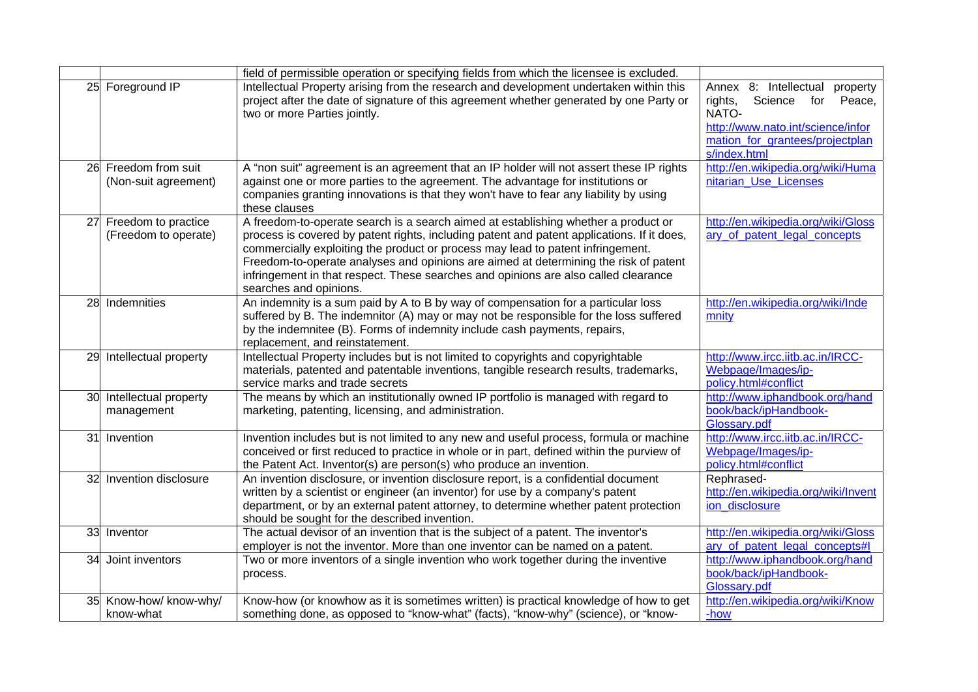|    |                                              | field of permissible operation or specifying fields from which the licensee is excluded.                                                                                                                                                                                                                                                                                                                                                                                     |                                                                                                                                                                        |
|----|----------------------------------------------|------------------------------------------------------------------------------------------------------------------------------------------------------------------------------------------------------------------------------------------------------------------------------------------------------------------------------------------------------------------------------------------------------------------------------------------------------------------------------|------------------------------------------------------------------------------------------------------------------------------------------------------------------------|
|    | 25 Foreground IP                             | Intellectual Property arising from the research and development undertaken within this<br>project after the date of signature of this agreement whether generated by one Party or<br>two or more Parties jointly.                                                                                                                                                                                                                                                            | Annex 8: Intellectual<br>property<br>Science<br>rights,<br>for Peace,<br>NATO-<br>http://www.nato.int/science/infor<br>mation for grantees/projectplan<br>s/index.html |
|    | 26 Freedom from suit<br>(Non-suit agreement) | A "non suit" agreement is an agreement that an IP holder will not assert these IP rights<br>against one or more parties to the agreement. The advantage for institutions or<br>companies granting innovations is that they won't have to fear any liability by using<br>these clauses                                                                                                                                                                                        | http://en.wikipedia.org/wiki/Huma<br>nitarian Use Licenses                                                                                                             |
| 27 | Freedom to practice<br>(Freedom to operate)  | A freedom-to-operate search is a search aimed at establishing whether a product or<br>process is covered by patent rights, including patent and patent applications. If it does,<br>commercially exploiting the product or process may lead to patent infringement.<br>Freedom-to-operate analyses and opinions are aimed at determining the risk of patent<br>infringement in that respect. These searches and opinions are also called clearance<br>searches and opinions. | http://en.wikipedia.org/wiki/Gloss<br>ary_of_patent_legal_concepts                                                                                                     |
|    | 28 Indemnities                               | An indemnity is a sum paid by A to B by way of compensation for a particular loss<br>suffered by B. The indemnitor (A) may or may not be responsible for the loss suffered<br>by the indemnitee (B). Forms of indemnity include cash payments, repairs,<br>replacement, and reinstatement.                                                                                                                                                                                   | http://en.wikipedia.org/wiki/Inde<br>mnity                                                                                                                             |
|    | 29 Intellectual property                     | Intellectual Property includes but is not limited to copyrights and copyrightable<br>materials, patented and patentable inventions, tangible research results, trademarks,<br>service marks and trade secrets                                                                                                                                                                                                                                                                | http://www.ircc.iitb.ac.in/IRCC-<br>Webpage/Images/ip-<br>policy.html#conflict                                                                                         |
| 30 | Intellectual property<br>management          | The means by which an institutionally owned IP portfolio is managed with regard to<br>marketing, patenting, licensing, and administration.                                                                                                                                                                                                                                                                                                                                   | http://www.iphandbook.org/hand<br>book/back/ipHandbook-<br>Glossary.pdf                                                                                                |
|    | 31 Invention                                 | Invention includes but is not limited to any new and useful process, formula or machine<br>conceived or first reduced to practice in whole or in part, defined within the purview of<br>the Patent Act. Inventor(s) are person(s) who produce an invention.                                                                                                                                                                                                                  | http://www.ircc.iitb.ac.in/IRCC-<br>Webpage/Images/ip-<br>policy.html#conflict                                                                                         |
| 32 | Invention disclosure                         | An invention disclosure, or invention disclosure report, is a confidential document<br>written by a scientist or engineer (an inventor) for use by a company's patent<br>department, or by an external patent attorney, to determine whether patent protection<br>should be sought for the described invention.                                                                                                                                                              | Rephrased-<br>http://en.wikipedia.org/wiki/Invent<br>ion_disclosure                                                                                                    |
|    | 33 Inventor                                  | The actual devisor of an invention that is the subject of a patent. The inventor's<br>employer is not the inventor. More than one inventor can be named on a patent.                                                                                                                                                                                                                                                                                                         | http://en.wikipedia.org/wiki/Gloss<br>ary of patent legal concepts#I                                                                                                   |
| 34 | Joint inventors                              | Two or more inventors of a single invention who work together during the inventive<br>process.                                                                                                                                                                                                                                                                                                                                                                               | http://www.iphandbook.org/hand<br>book/back/ipHandbook-<br>Glossary.pdf                                                                                                |
|    | 35 Know-how/ know-why/<br>know-what          | Know-how (or knowhow as it is sometimes written) is practical knowledge of how to get<br>something done, as opposed to "know-what" (facts), "know-why" (science), or "know-                                                                                                                                                                                                                                                                                                  | http://en.wikipedia.org/wiki/Know<br>-how                                                                                                                              |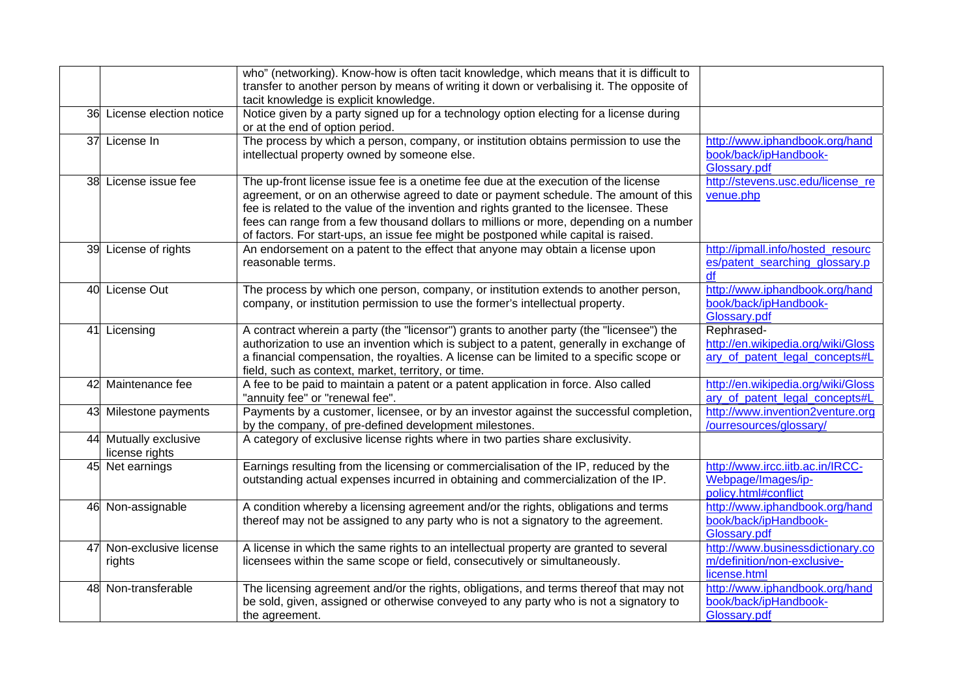|    |                                         | who" (networking). Know-how is often tacit knowledge, which means that it is difficult to<br>transfer to another person by means of writing it down or verbalising it. The opposite of                                                                                                                                                                                                                                                                |                                                                                    |
|----|-----------------------------------------|-------------------------------------------------------------------------------------------------------------------------------------------------------------------------------------------------------------------------------------------------------------------------------------------------------------------------------------------------------------------------------------------------------------------------------------------------------|------------------------------------------------------------------------------------|
|    |                                         | tacit knowledge is explicit knowledge.                                                                                                                                                                                                                                                                                                                                                                                                                |                                                                                    |
|    | 36 License election notice              | Notice given by a party signed up for a technology option electing for a license during<br>or at the end of option period.                                                                                                                                                                                                                                                                                                                            |                                                                                    |
|    | 37 License In                           | The process by which a person, company, or institution obtains permission to use the<br>intellectual property owned by someone else.                                                                                                                                                                                                                                                                                                                  | http://www.iphandbook.org/hand<br>book/back/ipHandbook-<br>Glossary.pdf            |
|    | 38 License issue fee                    | The up-front license issue fee is a onetime fee due at the execution of the license<br>agreement, or on an otherwise agreed to date or payment schedule. The amount of this<br>fee is related to the value of the invention and rights granted to the licensee. These<br>fees can range from a few thousand dollars to millions or more, depending on a number<br>of factors. For start-ups, an issue fee might be postponed while capital is raised. | http://stevens.usc.edu/license_re<br>venue.php                                     |
|    | 39 License of rights                    | An endorsement on a patent to the effect that anyone may obtain a license upon<br>reasonable terms.                                                                                                                                                                                                                                                                                                                                                   | http://ipmall.info/hosted resourc<br>es/patent_searching_glossary.p<br>df          |
|    | 40 License Out                          | The process by which one person, company, or institution extends to another person,<br>company, or institution permission to use the former's intellectual property.                                                                                                                                                                                                                                                                                  | http://www.iphandbook.org/hand<br>book/back/ipHandbook-<br>Glossary.pdf            |
|    | 41 Licensing                            | A contract wherein a party (the "licensor") grants to another party (the "licensee") the<br>authorization to use an invention which is subject to a patent, generally in exchange of<br>a financial compensation, the royalties. A license can be limited to a specific scope or<br>field, such as context, market, territory, or time.                                                                                                               | Rephrased-<br>http://en.wikipedia.org/wiki/Gloss<br>ary of patent legal concepts#L |
| 42 | Maintenance fee                         | A fee to be paid to maintain a patent or a patent application in force. Also called<br>"annuity fee" or "renewal fee".                                                                                                                                                                                                                                                                                                                                | http://en.wikipedia.org/wiki/Gloss<br>ary of patent legal concepts#L               |
|    | 43 Milestone payments                   | Payments by a customer, licensee, or by an investor against the successful completion,<br>by the company, of pre-defined development milestones.                                                                                                                                                                                                                                                                                                      | http://www.invention2venture.org<br>/ourresources/glossary/                        |
|    | 44 Mutually exclusive<br>license rights | A category of exclusive license rights where in two parties share exclusivity.                                                                                                                                                                                                                                                                                                                                                                        |                                                                                    |
|    | 45 Net earnings                         | Earnings resulting from the licensing or commercialisation of the IP, reduced by the<br>outstanding actual expenses incurred in obtaining and commercialization of the IP.                                                                                                                                                                                                                                                                            | http://www.ircc.iitb.ac.in/IRCC-<br>Webpage/Images/ip-<br>policy.html#conflict     |
|    | 46 Non-assignable                       | A condition whereby a licensing agreement and/or the rights, obligations and terms<br>thereof may not be assigned to any party who is not a signatory to the agreement.                                                                                                                                                                                                                                                                               | http://www.iphandbook.org/hand<br>book/back/ipHandbook-<br>Glossary.pdf            |
| 47 | Non-exclusive license<br>rights         | A license in which the same rights to an intellectual property are granted to several<br>licensees within the same scope or field, consecutively or simultaneously.                                                                                                                                                                                                                                                                                   | http://www.businessdictionary.co<br>m/definition/non-exclusive-<br>license.html    |
|    | 48 Non-transferable                     | The licensing agreement and/or the rights, obligations, and terms thereof that may not<br>be sold, given, assigned or otherwise conveyed to any party who is not a signatory to<br>the agreement.                                                                                                                                                                                                                                                     | http://www.iphandbook.org/hand<br>book/back/ipHandbook-<br>Glossary.pdf            |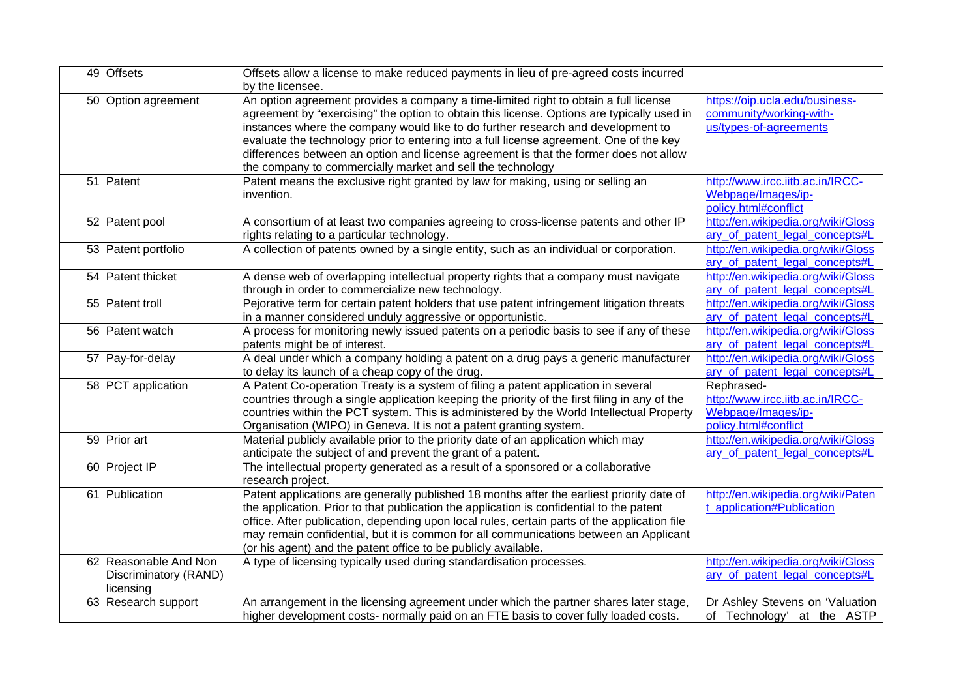|    | 49 Offsets                                               | Offsets allow a license to make reduced payments in lieu of pre-agreed costs incurred<br>by the licensee.                                                                                                                                                                                                                                                                                                                                                                                                                |                                                                                              |
|----|----------------------------------------------------------|--------------------------------------------------------------------------------------------------------------------------------------------------------------------------------------------------------------------------------------------------------------------------------------------------------------------------------------------------------------------------------------------------------------------------------------------------------------------------------------------------------------------------|----------------------------------------------------------------------------------------------|
|    | 50 Option agreement                                      | An option agreement provides a company a time-limited right to obtain a full license<br>agreement by "exercising" the option to obtain this license. Options are typically used in<br>instances where the company would like to do further research and development to<br>evaluate the technology prior to entering into a full license agreement. One of the key<br>differences between an option and license agreement is that the former does not allow<br>the company to commercially market and sell the technology | https://oip.ucla.edu/business-<br>community/working-with-<br>us/types-of-agreements          |
|    | 51 Patent                                                | Patent means the exclusive right granted by law for making, using or selling an<br>invention.                                                                                                                                                                                                                                                                                                                                                                                                                            | http://www.ircc.iitb.ac.in/IRCC-<br>Webpage/Images/ip-<br>policy.html#conflict               |
|    | 52 Patent pool                                           | A consortium of at least two companies agreeing to cross-license patents and other IP<br>rights relating to a particular technology.                                                                                                                                                                                                                                                                                                                                                                                     | http://en.wikipedia.org/wiki/Gloss<br>ary_of_patent_legal_concepts#L                         |
|    | 53 Patent portfolio                                      | A collection of patents owned by a single entity, such as an individual or corporation.                                                                                                                                                                                                                                                                                                                                                                                                                                  | http://en.wikipedia.org/wiki/Gloss<br>ary of patent legal concepts#L                         |
|    | 54 Patent thicket                                        | A dense web of overlapping intellectual property rights that a company must navigate<br>through in order to commercialize new technology.                                                                                                                                                                                                                                                                                                                                                                                | http://en.wikipedia.org/wiki/Gloss<br>ary_of_patent_legal_concepts#L                         |
|    | 55 Patent troll                                          | Pejorative term for certain patent holders that use patent infringement litigation threats<br>in a manner considered unduly aggressive or opportunistic.                                                                                                                                                                                                                                                                                                                                                                 | http://en.wikipedia.org/wiki/Gloss<br>ary_of_patent_legal_concepts#L                         |
|    | 56 Patent watch                                          | A process for monitoring newly issued patents on a periodic basis to see if any of these<br>patents might be of interest.                                                                                                                                                                                                                                                                                                                                                                                                | http://en.wikipedia.org/wiki/Gloss<br>ary of patent legal concepts#L                         |
|    | 57 Pay-for-delay                                         | A deal under which a company holding a patent on a drug pays a generic manufacturer<br>to delay its launch of a cheap copy of the drug.                                                                                                                                                                                                                                                                                                                                                                                  | http://en.wikipedia.org/wiki/Gloss<br>ary_of_patent_legal_concepts#L                         |
|    | 58 PCT application                                       | A Patent Co-operation Treaty is a system of filing a patent application in several<br>countries through a single application keeping the priority of the first filing in any of the<br>countries within the PCT system. This is administered by the World Intellectual Property<br>Organisation (WIPO) in Geneva. It is not a patent granting system.                                                                                                                                                                    | Rephrased-<br>http://www.ircc.iitb.ac.in/IRCC-<br>Webpage/Images/ip-<br>policy.html#conflict |
|    | 59 Prior art                                             | Material publicly available prior to the priority date of an application which may<br>anticipate the subject of and prevent the grant of a patent.                                                                                                                                                                                                                                                                                                                                                                       | http://en.wikipedia.org/wiki/Gloss<br>ary of patent legal concepts#L                         |
|    | 60 Project IP                                            | The intellectual property generated as a result of a sponsored or a collaborative<br>research project.                                                                                                                                                                                                                                                                                                                                                                                                                   |                                                                                              |
|    | 61 Publication                                           | Patent applications are generally published 18 months after the earliest priority date of<br>the application. Prior to that publication the application is confidential to the patent<br>office. After publication, depending upon local rules, certain parts of the application file<br>may remain confidential, but it is common for all communications between an Applicant<br>(or his agent) and the patent office to be publicly available.                                                                         | http://en.wikipedia.org/wiki/Paten<br>t_application#Publication                              |
| 62 | Reasonable And Non<br>Discriminatory (RAND)<br>licensing | A type of licensing typically used during standardisation processes.                                                                                                                                                                                                                                                                                                                                                                                                                                                     | http://en.wikipedia.org/wiki/Gloss<br>ary_of_patent_legal_concepts#L                         |
|    | 63 Research support                                      | An arrangement in the licensing agreement under which the partner shares later stage,<br>higher development costs- normally paid on an FTE basis to cover fully loaded costs.                                                                                                                                                                                                                                                                                                                                            | Dr Ashley Stevens on 'Valuation<br>of Technology' at the ASTP                                |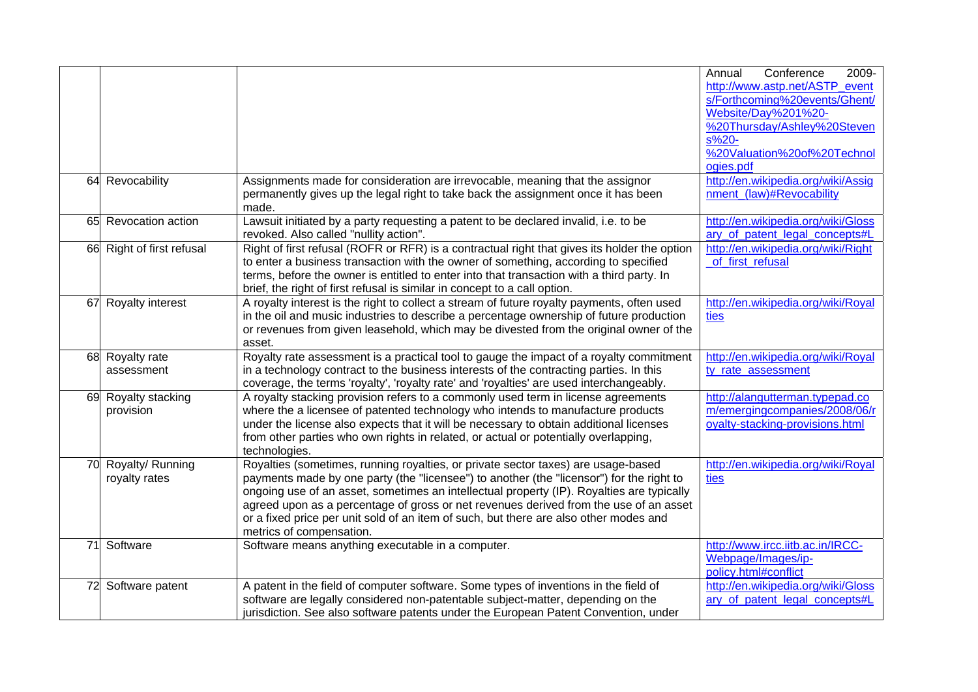|                           |                                                                                              | Conference<br>Annual<br>2009-      |
|---------------------------|----------------------------------------------------------------------------------------------|------------------------------------|
|                           |                                                                                              | http://www.astp.net/ASTP event     |
|                           |                                                                                              | s/Forthcoming%20events/Ghent/      |
|                           |                                                                                              | Website/Day%201%20-                |
|                           |                                                                                              | %20Thursday/Ashley%20Steven        |
|                           |                                                                                              | $s\%20-$                           |
|                           |                                                                                              | %20Valuation%20of%20Technol        |
|                           |                                                                                              | ogies.pdf                          |
| 64 Revocability           | Assignments made for consideration are irrevocable, meaning that the assignor                | http://en.wikipedia.org/wiki/Assig |
|                           | permanently gives up the legal right to take back the assignment once it has been            | nment_(law)#Revocability           |
|                           | made.                                                                                        |                                    |
| 65 Revocation action      | Lawsuit initiated by a party requesting a patent to be declared invalid, i.e. to be          | http://en.wikipedia.org/wiki/Gloss |
|                           | revoked. Also called "nullity action".                                                       | ary of patent legal concepts#L     |
| 66 Right of first refusal | Right of first refusal (ROFR or RFR) is a contractual right that gives its holder the option | http://en.wikipedia.org/wiki/Right |
|                           | to enter a business transaction with the owner of something, according to specified          | of first refusal                   |
|                           | terms, before the owner is entitled to enter into that transaction with a third party. In    |                                    |
|                           | brief, the right of first refusal is similar in concept to a call option.                    |                                    |
| 67 Royalty interest       | A royalty interest is the right to collect a stream of future royalty payments, often used   | http://en.wikipedia.org/wiki/Royal |
|                           | in the oil and music industries to describe a percentage ownership of future production      | ties                               |
|                           | or revenues from given leasehold, which may be divested from the original owner of the       |                                    |
|                           | asset.                                                                                       |                                    |
| 68 Royalty rate           | Royalty rate assessment is a practical tool to gauge the impact of a royalty commitment      | http://en.wikipedia.org/wiki/Royal |
| assessment                | in a technology contract to the business interests of the contracting parties. In this       | ty_rate_assessment                 |
|                           | coverage, the terms 'royalty', 'royalty rate' and 'royalties' are used interchangeably.      |                                    |
| 69 Royalty stacking       | A royalty stacking provision refers to a commonly used term in license agreements            | http://alangutterman.typepad.co    |
| provision                 | where the a licensee of patented technology who intends to manufacture products              | m/emergingcompanies/2008/06/r      |
|                           | under the license also expects that it will be necessary to obtain additional licenses       | oyalty-stacking-provisions.html    |
|                           | from other parties who own rights in related, or actual or potentially overlapping,          |                                    |
|                           | technologies.                                                                                |                                    |
| 70 Royalty/ Running       | Royalties (sometimes, running royalties, or private sector taxes) are usage-based            | http://en.wikipedia.org/wiki/Royal |
| royalty rates             | payments made by one party (the "licensee") to another (the "licensor") for the right to     | ties                               |
|                           | ongoing use of an asset, sometimes an intellectual property (IP). Royalties are typically    |                                    |
|                           | agreed upon as a percentage of gross or net revenues derived from the use of an asset        |                                    |
|                           | or a fixed price per unit sold of an item of such, but there are also other modes and        |                                    |
| 71 Software               | metrics of compensation.<br>Software means anything executable in a computer.                | http://www.ircc.iitb.ac.in/IRCC-   |
|                           |                                                                                              | Webpage/Images/ip-                 |
|                           |                                                                                              | policy.html#conflict               |
| 72 Software patent        | A patent in the field of computer software. Some types of inventions in the field of         | http://en.wikipedia.org/wiki/Gloss |
|                           | software are legally considered non-patentable subject-matter, depending on the              | ary_of_patent_legal_concepts#L     |
|                           | jurisdiction. See also software patents under the European Patent Convention, under          |                                    |
|                           |                                                                                              |                                    |